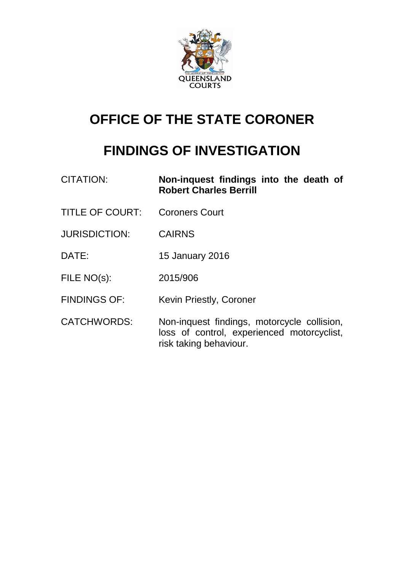

# **OFFICE OF THE STATE CORONER**

# **FINDINGS OF INVESTIGATION**

| <b>CITATION:</b>       | Non-inquest findings into the death of<br><b>Robert Charles Berrill</b>                                             |
|------------------------|---------------------------------------------------------------------------------------------------------------------|
| <b>TITLE OF COURT:</b> | <b>Coroners Court</b>                                                                                               |
| <b>JURISDICTION:</b>   | <b>CAIRNS</b>                                                                                                       |
| DATE:                  | <b>15 January 2016</b>                                                                                              |
| FILE NO(s):            | 2015/906                                                                                                            |
| <b>FINDINGS OF:</b>    | <b>Kevin Priestly, Coroner</b>                                                                                      |
| <b>CATCHWORDS:</b>     | Non-inquest findings, motorcycle collision,<br>loss of control, experienced motorcyclist,<br>risk taking behaviour. |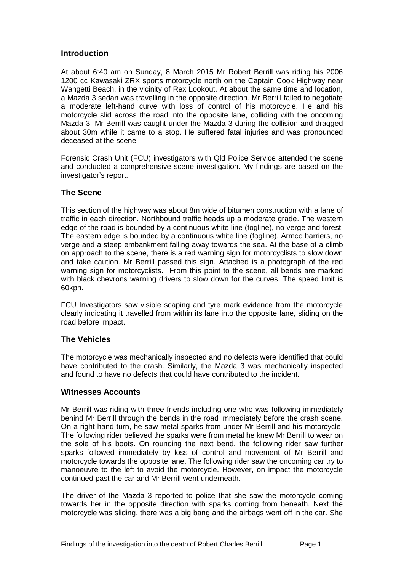## **Introduction**

At about 6:40 am on Sunday, 8 March 2015 Mr Robert Berrill was riding his 2006 1200 cc Kawasaki ZRX sports motorcycle north on the Captain Cook Highway near Wangetti Beach, in the vicinity of Rex Lookout. At about the same time and location, a Mazda 3 sedan was travelling in the opposite direction. Mr Berrill failed to negotiate a moderate left-hand curve with loss of control of his motorcycle. He and his motorcycle slid across the road into the opposite lane, colliding with the oncoming Mazda 3. Mr Berrill was caught under the Mazda 3 during the collision and dragged about 30m while it came to a stop. He suffered fatal injuries and was pronounced deceased at the scene.

Forensic Crash Unit (FCU) investigators with Qld Police Service attended the scene and conducted a comprehensive scene investigation. My findings are based on the investigator's report.

### **The Scene**

This section of the highway was about 8m wide of bitumen construction with a lane of traffic in each direction. Northbound traffic heads up a moderate grade. The western edge of the road is bounded by a continuous white line (fogline), no verge and forest. The eastern edge is bounded by a continuous white line (fogline), Armco barriers, no verge and a steep embankment falling away towards the sea. At the base of a climb on approach to the scene, there is a red warning sign for motorcyclists to slow down and take caution. Mr Berrill passed this sign. Attached is a photograph of the red warning sign for motorcyclists. From this point to the scene, all bends are marked with black chevrons warning drivers to slow down for the curves. The speed limit is 60kph.

FCU Investigators saw visible scaping and tyre mark evidence from the motorcycle clearly indicating it travelled from within its lane into the opposite lane, sliding on the road before impact.

# **The Vehicles**

The motorcycle was mechanically inspected and no defects were identified that could have contributed to the crash. Similarly, the Mazda 3 was mechanically inspected and found to have no defects that could have contributed to the incident.

#### **Witnesses Accounts**

Mr Berrill was riding with three friends including one who was following immediately behind Mr Berrill through the bends in the road immediately before the crash scene. On a right hand turn, he saw metal sparks from under Mr Berrill and his motorcycle. The following rider believed the sparks were from metal he knew Mr Berrill to wear on the sole of his boots. On rounding the next bend, the following rider saw further sparks followed immediately by loss of control and movement of Mr Berrill and motorcycle towards the opposite lane. The following rider saw the oncoming car try to manoeuvre to the left to avoid the motorcycle. However, on impact the motorcycle continued past the car and Mr Berrill went underneath.

The driver of the Mazda 3 reported to police that she saw the motorcycle coming towards her in the opposite direction with sparks coming from beneath. Next the motorcycle was sliding, there was a big bang and the airbags went off in the car. She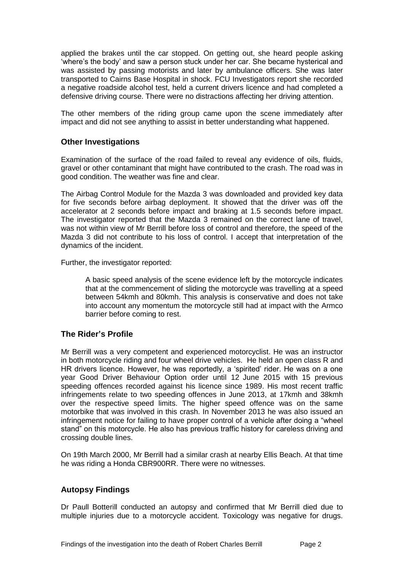applied the brakes until the car stopped. On getting out, she heard people asking 'where's the body' and saw a person stuck under her car. She became hysterical and was assisted by passing motorists and later by ambulance officers. She was later transported to Cairns Base Hospital in shock. FCU Investigators report she recorded a negative roadside alcohol test, held a current drivers licence and had completed a defensive driving course. There were no distractions affecting her driving attention.

The other members of the riding group came upon the scene immediately after impact and did not see anything to assist in better understanding what happened.

## **Other Investigations**

Examination of the surface of the road failed to reveal any evidence of oils, fluids, gravel or other contaminant that might have contributed to the crash. The road was in good condition. The weather was fine and clear.

The Airbag Control Module for the Mazda 3 was downloaded and provided key data for five seconds before airbag deployment. It showed that the driver was off the accelerator at 2 seconds before impact and braking at 1.5 seconds before impact. The investigator reported that the Mazda 3 remained on the correct lane of travel, was not within view of Mr Berrill before loss of control and therefore, the speed of the Mazda 3 did not contribute to his loss of control. I accept that interpretation of the dynamics of the incident.

Further, the investigator reported:

A basic speed analysis of the scene evidence left by the motorcycle indicates that at the commencement of sliding the motorcycle was travelling at a speed between 54kmh and 80kmh. This analysis is conservative and does not take into account any momentum the motorcycle still had at impact with the Armco barrier before coming to rest.

#### **The Rider's Profile**

Mr Berrill was a very competent and experienced motorcyclist. He was an instructor in both motorcycle riding and four wheel drive vehicles. He held an open class R and HR drivers licence. However, he was reportedly, a 'spirited' rider. He was on a one year Good Driver Behaviour Option order until 12 June 2015 with 15 previous speeding offences recorded against his licence since 1989. His most recent traffic infringements relate to two speeding offences in June 2013, at 17kmh and 38kmh over the respective speed limits. The higher speed offence was on the same motorbike that was involved in this crash. In November 2013 he was also issued an infringement notice for failing to have proper control of a vehicle after doing a "wheel stand" on this motorcycle. He also has previous traffic history for careless driving and crossing double lines.

On 19th March 2000, Mr Berrill had a similar crash at nearby Ellis Beach. At that time he was riding a Honda CBR900RR. There were no witnesses.

#### **Autopsy Findings**

Dr Paull Botterill conducted an autopsy and confirmed that Mr Berrill died due to multiple injuries due to a motorcycle accident. Toxicology was negative for drugs.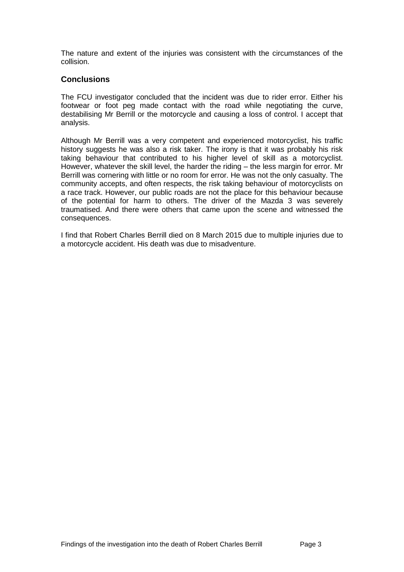The nature and extent of the injuries was consistent with the circumstances of the collision.

#### **Conclusions**

The FCU investigator concluded that the incident was due to rider error. Either his footwear or foot peg made contact with the road while negotiating the curve, destabilising Mr Berrill or the motorcycle and causing a loss of control. I accept that analysis.

Although Mr Berrill was a very competent and experienced motorcyclist, his traffic history suggests he was also a risk taker. The irony is that it was probably his risk taking behaviour that contributed to his higher level of skill as a motorcyclist. However, whatever the skill level, the harder the riding – the less margin for error. Mr Berrill was cornering with little or no room for error. He was not the only casualty. The community accepts, and often respects, the risk taking behaviour of motorcyclists on a race track. However, our public roads are not the place for this behaviour because of the potential for harm to others. The driver of the Mazda 3 was severely traumatised. And there were others that came upon the scene and witnessed the consequences.

I find that Robert Charles Berrill died on 8 March 2015 due to multiple injuries due to a motorcycle accident. His death was due to misadventure.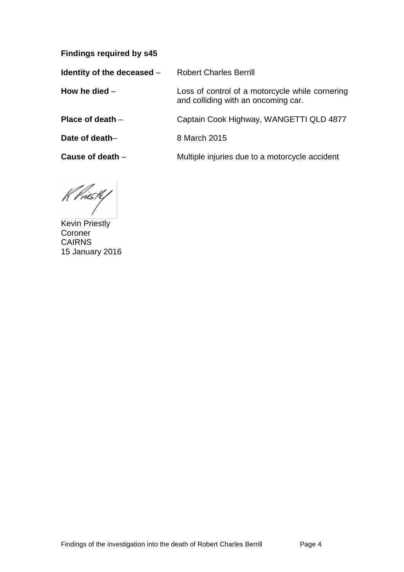**Findings required by s45**

**Identity of the deceased – Robert Charles Berrill** 

**How he died** – Loss of control of a motorcycle while cornering and colliding with an oncoming car.

**Place of death** – Captain Cook Highway, WANGETTI QLD 4877

**Date of death–** 8 March 2015

**Cause of death** – **Multiple injuries due to a motorcycle accident** 

K Priesty

Kevin Priestly Coroner CAIRNS 15 January 2016